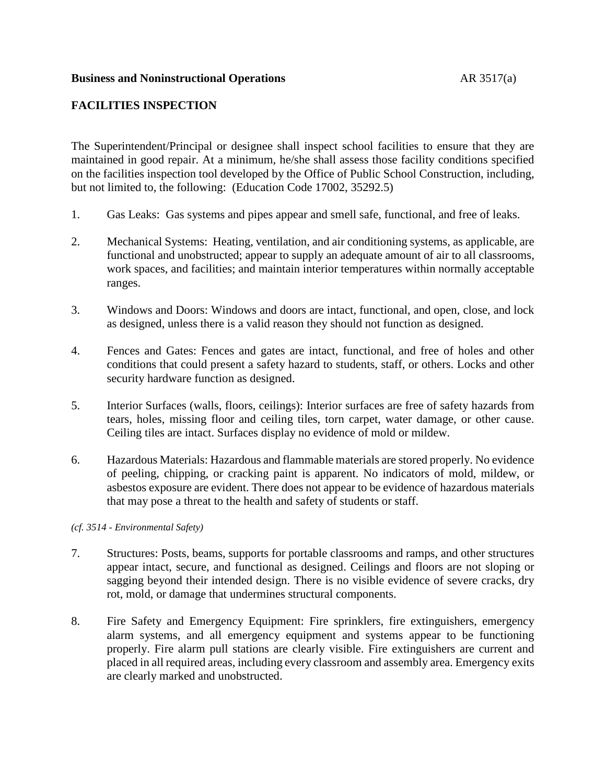## **Business and Noninstructional Operations AR 3517(a)**

# **FACILITIES INSPECTION**

The Superintendent/Principal or designee shall inspect school facilities to ensure that they are maintained in good repair. At a minimum, he/she shall assess those facility conditions specified on the facilities inspection tool developed by the Office of Public School Construction, including, but not limited to, the following: (Education Code 17002, 35292.5)

- 1. Gas Leaks: Gas systems and pipes appear and smell safe, functional, and free of leaks.
- 2. Mechanical Systems: Heating, ventilation, and air conditioning systems, as applicable, are functional and unobstructed; appear to supply an adequate amount of air to all classrooms, work spaces, and facilities; and maintain interior temperatures within normally acceptable ranges.
- 3. Windows and Doors: Windows and doors are intact, functional, and open, close, and lock as designed, unless there is a valid reason they should not function as designed.
- 4. Fences and Gates: Fences and gates are intact, functional, and free of holes and other conditions that could present a safety hazard to students, staff, or others. Locks and other security hardware function as designed.
- 5. Interior Surfaces (walls, floors, ceilings): Interior surfaces are free of safety hazards from tears, holes, missing floor and ceiling tiles, torn carpet, water damage, or other cause. Ceiling tiles are intact. Surfaces display no evidence of mold or mildew.
- 6. Hazardous Materials: Hazardous and flammable materials are stored properly. No evidence of peeling, chipping, or cracking paint is apparent. No indicators of mold, mildew, or asbestos exposure are evident. There does not appear to be evidence of hazardous materials that may pose a threat to the health and safety of students or staff.

*(cf. 3514 - Environmental Safety)*

- 7. Structures: Posts, beams, supports for portable classrooms and ramps, and other structures appear intact, secure, and functional as designed. Ceilings and floors are not sloping or sagging beyond their intended design. There is no visible evidence of severe cracks, dry rot, mold, or damage that undermines structural components.
- 8. Fire Safety and Emergency Equipment: Fire sprinklers, fire extinguishers, emergency alarm systems, and all emergency equipment and systems appear to be functioning properly. Fire alarm pull stations are clearly visible. Fire extinguishers are current and placed in all required areas, including every classroom and assembly area. Emergency exits are clearly marked and unobstructed.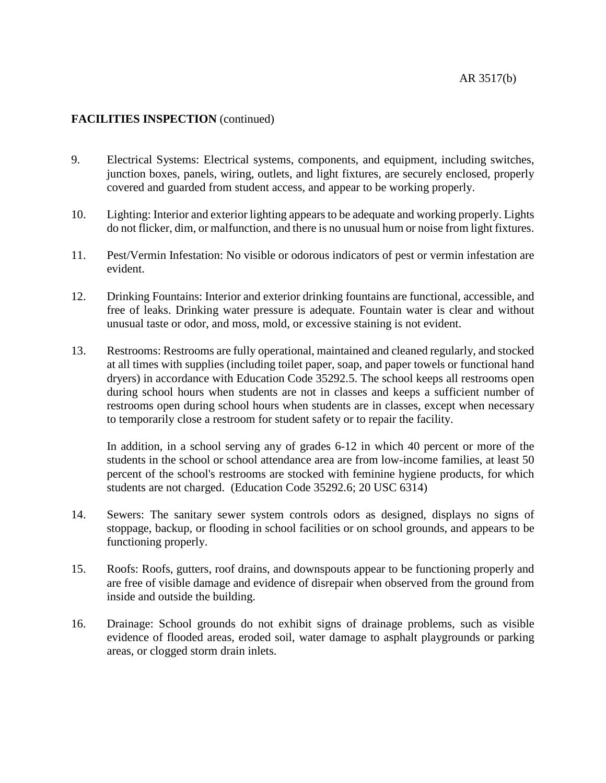# **FACILITIES INSPECTION** (continued)

- 9. Electrical Systems: Electrical systems, components, and equipment, including switches, junction boxes, panels, wiring, outlets, and light fixtures, are securely enclosed, properly covered and guarded from student access, and appear to be working properly.
- 10. Lighting: Interior and exterior lighting appearsto be adequate and working properly. Lights do not flicker, dim, or malfunction, and there is no unusual hum or noise from light fixtures.
- 11. Pest/Vermin Infestation: No visible or odorous indicators of pest or vermin infestation are evident.
- 12. Drinking Fountains: Interior and exterior drinking fountains are functional, accessible, and free of leaks. Drinking water pressure is adequate. Fountain water is clear and without unusual taste or odor, and moss, mold, or excessive staining is not evident.
- 13. Restrooms: Restrooms are fully operational, maintained and cleaned regularly, and stocked at all times with supplies (including toilet paper, soap, and paper towels or functional hand dryers) in accordance with Education Code 35292.5. The school keeps all restrooms open during school hours when students are not in classes and keeps a sufficient number of restrooms open during school hours when students are in classes, except when necessary to temporarily close a restroom for student safety or to repair the facility.

In addition, in a school serving any of grades 6-12 in which 40 percent or more of the students in the school or school attendance area are from low-income families, at least 50 percent of the school's restrooms are stocked with feminine hygiene products, for which students are not charged. (Education Code 35292.6; 20 USC 6314)

- 14. Sewers: The sanitary sewer system controls odors as designed, displays no signs of stoppage, backup, or flooding in school facilities or on school grounds, and appears to be functioning properly.
- 15. Roofs: Roofs, gutters, roof drains, and downspouts appear to be functioning properly and are free of visible damage and evidence of disrepair when observed from the ground from inside and outside the building.
- 16. Drainage: School grounds do not exhibit signs of drainage problems, such as visible evidence of flooded areas, eroded soil, water damage to asphalt playgrounds or parking areas, or clogged storm drain inlets.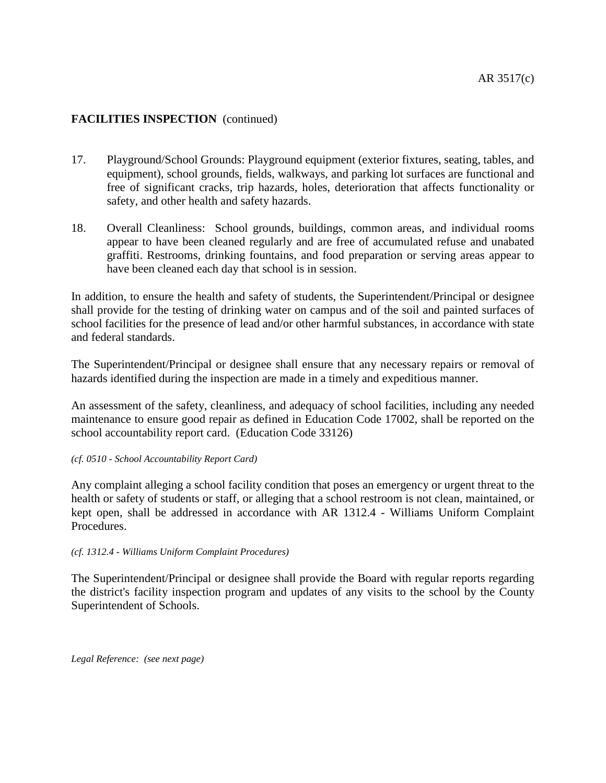# **FACILITIES INSPECTION** (continued)

- 17. Playground/School Grounds: Playground equipment (exterior fixtures, seating, tables, and equipment), school grounds, fields, walkways, and parking lot surfaces are functional and free of significant cracks, trip hazards, holes, deterioration that affects functionality or safety, and other health and safety hazards.
- 18. Overall Cleanliness: School grounds, buildings, common areas, and individual rooms appear to have been cleaned regularly and are free of accumulated refuse and unabated graffiti. Restrooms, drinking fountains, and food preparation or serving areas appear to have been cleaned each day that school is in session.

In addition, to ensure the health and safety of students, the Superintendent/Principal or designee shall provide for the testing of drinking water on campus and of the soil and painted surfaces of school facilities for the presence of lead and/or other harmful substances, in accordance with state and federal standards.

The Superintendent/Principal or designee shall ensure that any necessary repairs or removal of hazards identified during the inspection are made in a timely and expeditious manner.

An assessment of the safety, cleanliness, and adequacy of school facilities, including any needed maintenance to ensure good repair as defined in Education Code 17002, shall be reported on the school accountability report card. (Education Code 33126)

#### *(cf. 0510 - School Accountability Report Card)*

Any complaint alleging a school facility condition that poses an emergency or urgent threat to the health or safety of students or staff, or alleging that a school restroom is not clean, maintained, or kept open, shall be addressed in accordance with AR 1312.4 - Williams Uniform Complaint Procedures.

### *(cf. 1312.4 - Williams Uniform Complaint Procedures)*

The Superintendent/Principal or designee shall provide the Board with regular reports regarding the district's facility inspection program and updates of any visits to the school by the County Superintendent of Schools.

*Legal Reference: (see next page)*